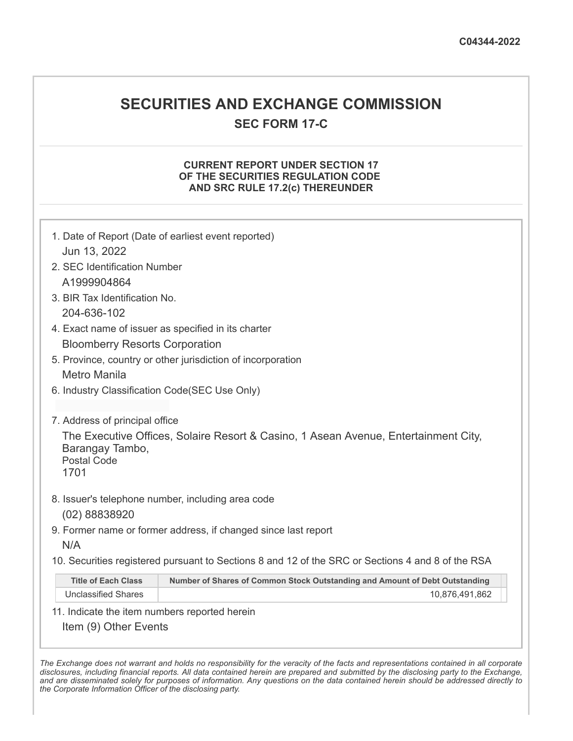# **SECURITIES AND EXCHANGE COMMISSION**

**SEC FORM 17-C**

## **CURRENT REPORT UNDER SECTION 17 OF THE SECURITIES REGULATION CODE AND SRC RULE 17.2(c) THEREUNDER**

| 1. Date of Report (Date of earliest event reported)                                                                                                                    |                                                                             |  |  |  |  |
|------------------------------------------------------------------------------------------------------------------------------------------------------------------------|-----------------------------------------------------------------------------|--|--|--|--|
| Jun 13, 2022                                                                                                                                                           |                                                                             |  |  |  |  |
| 2. SEC Identification Number                                                                                                                                           |                                                                             |  |  |  |  |
| A1999904864                                                                                                                                                            |                                                                             |  |  |  |  |
| 3. BIR Tax Identification No.                                                                                                                                          |                                                                             |  |  |  |  |
| 204-636-102                                                                                                                                                            |                                                                             |  |  |  |  |
| 4. Exact name of issuer as specified in its charter                                                                                                                    |                                                                             |  |  |  |  |
| <b>Bloomberry Resorts Corporation</b>                                                                                                                                  |                                                                             |  |  |  |  |
| 5. Province, country or other jurisdiction of incorporation                                                                                                            |                                                                             |  |  |  |  |
| Metro Manila                                                                                                                                                           |                                                                             |  |  |  |  |
| 6. Industry Classification Code(SEC Use Only)                                                                                                                          |                                                                             |  |  |  |  |
|                                                                                                                                                                        |                                                                             |  |  |  |  |
| 7. Address of principal office<br>The Executive Offices, Solaire Resort & Casino, 1 Asean Avenue, Entertainment City,<br>Barangay Tambo,<br><b>Postal Code</b><br>1701 |                                                                             |  |  |  |  |
|                                                                                                                                                                        | 8. Issuer's telephone number, including area code                           |  |  |  |  |
| (02) 88838920                                                                                                                                                          |                                                                             |  |  |  |  |
| 9. Former name or former address, if changed since last report                                                                                                         |                                                                             |  |  |  |  |
| N/A                                                                                                                                                                    |                                                                             |  |  |  |  |
| 10. Securities registered pursuant to Sections 8 and 12 of the SRC or Sections 4 and 8 of the RSA                                                                      |                                                                             |  |  |  |  |
| <b>Title of Each Class</b>                                                                                                                                             | Number of Shares of Common Stock Outstanding and Amount of Debt Outstanding |  |  |  |  |
| <b>Unclassified Shares</b>                                                                                                                                             | 10,876,491,862                                                              |  |  |  |  |
| 11. Indicate the item numbers reported herein                                                                                                                          |                                                                             |  |  |  |  |
| Item (9) Other Events                                                                                                                                                  |                                                                             |  |  |  |  |

The Exchange does not warrant and holds no responsibility for the veracity of the facts and representations contained in all corporate disclosures, including financial reports. All data contained herein are prepared and submitted by the disclosing party to the Exchange, and are disseminated solely for purposes of information. Any questions on the data contained herein should be addressed directly to *the Corporate Information Officer of the disclosing party.*